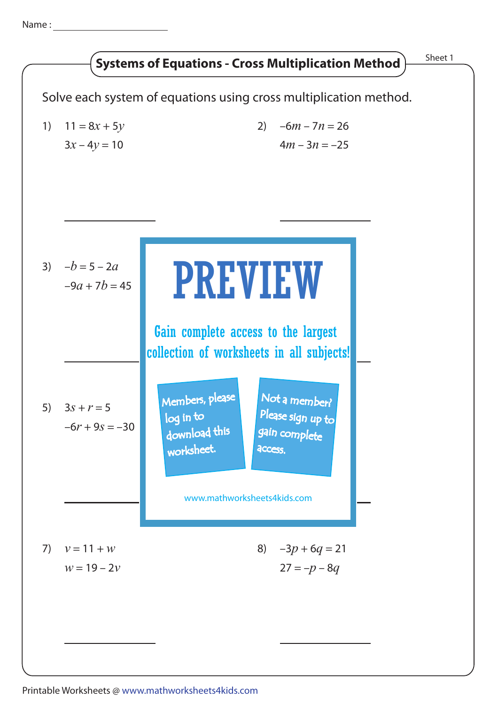